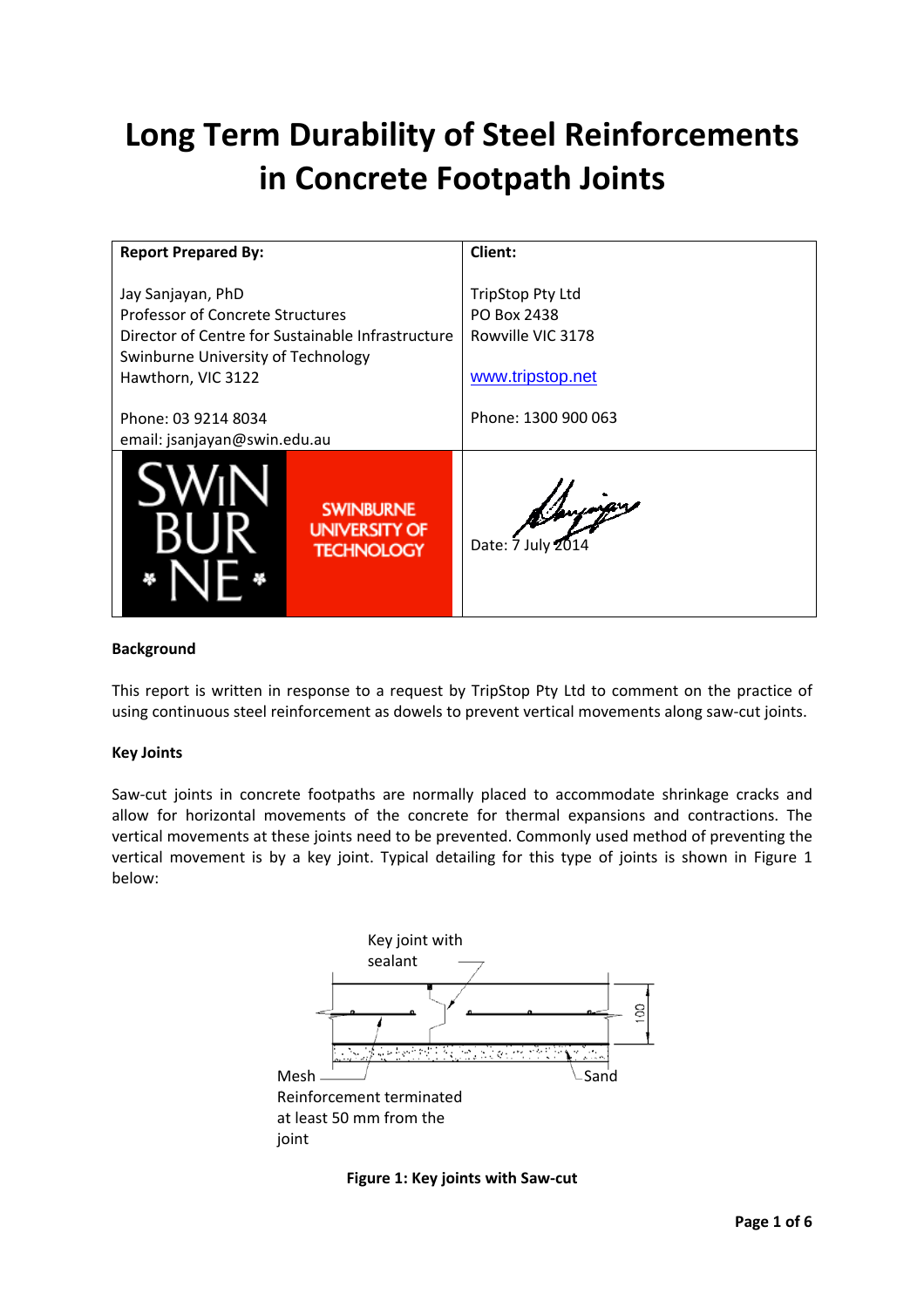# **Long Term Durability of Steel Reinforcements in Concrete Footpath Joints**

| <b>Report Prepared By:</b>         |                                                               | Client:                 |  |  |
|------------------------------------|---------------------------------------------------------------|-------------------------|--|--|
| Jay Sanjayan, PhD                  |                                                               | <b>TripStop Pty Ltd</b> |  |  |
| Professor of Concrete Structures   |                                                               | PO Box 2438             |  |  |
|                                    | Director of Centre for Sustainable Infrastructure             | Rowville VIC 3178       |  |  |
|                                    |                                                               |                         |  |  |
| Swinburne University of Technology |                                                               |                         |  |  |
| Hawthorn, VIC 3122                 |                                                               | www.tripstop.net        |  |  |
| Phone: 03 9214 8034                |                                                               | Phone: 1300 900 063     |  |  |
| email: jsanjayan@swin.edu.au       |                                                               |                         |  |  |
|                                    | <b>SWINBURNE</b><br><b>UNIVERSITY OF</b><br><b>TECHNOLOGY</b> | Date: 7 July 2014       |  |  |

# **Background**

This report is written in response to a request by TripStop Pty Ltd to comment on the practice of using continuous steel reinforcement as dowels to prevent vertical movements along saw‐cut joints.

# **Key Joints**

Saw-cut joints in concrete footpaths are normally placed to accommodate shrinkage cracks and allow for horizontal movements of the concrete for thermal expansions and contractions. The vertical movements at these joints need to be prevented. Commonly used method of preventing the vertical movement is by a key joint. Typical detailing for this type of joints is shown in Figure 1 below:



**Figure 1: Key joints with Saw‐cut**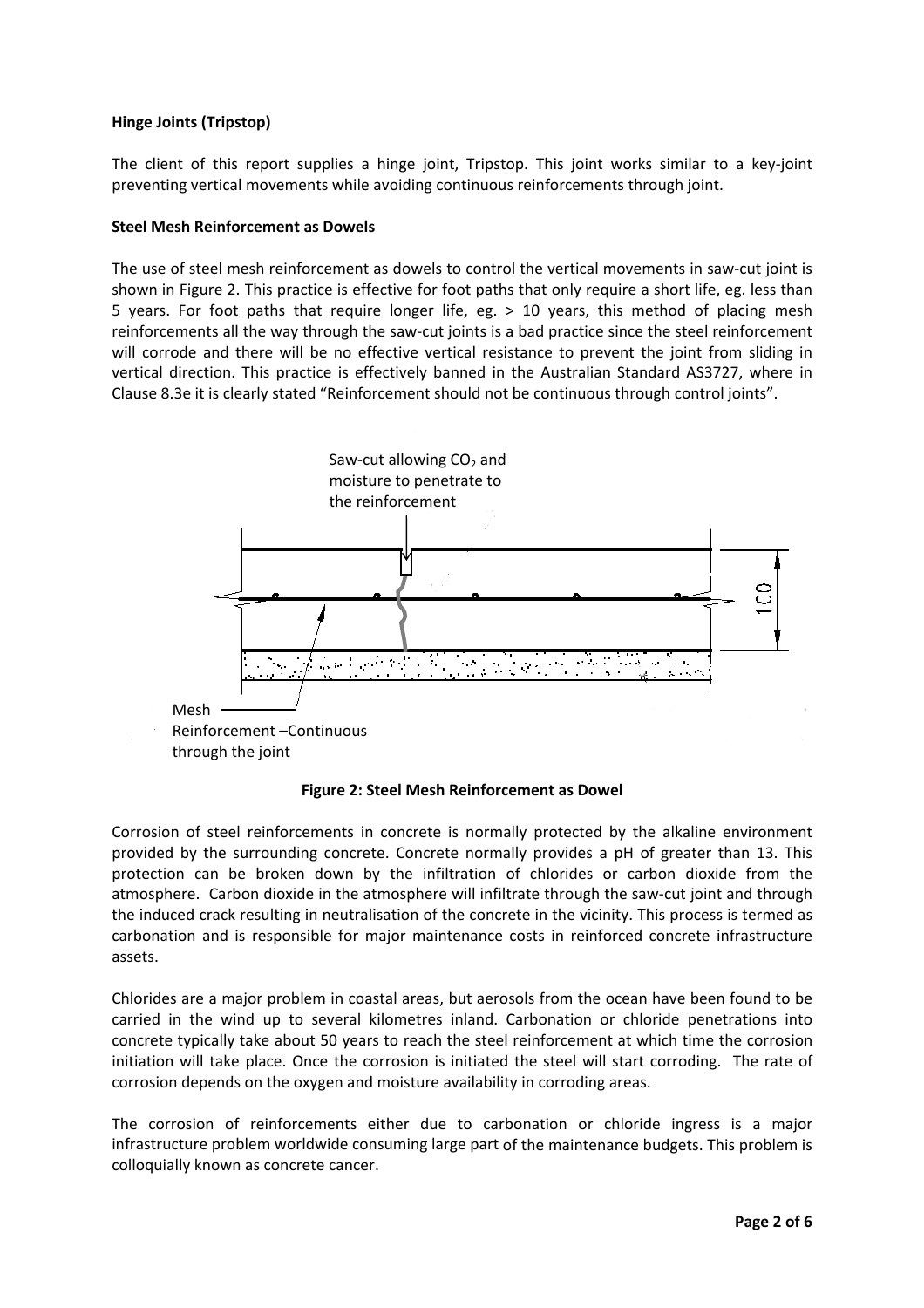# **Hinge Joints (Tripstop)**

The client of this report supplies a hinge joint, Tripstop. This joint works similar to a key‐joint preventing vertical movements while avoiding continuous reinforcements through joint.

# **Steel Mesh Reinforcement as Dowels**

The use of steel mesh reinforcement as dowels to control the vertical movements in saw-cut joint is shown in Figure 2. This practice is effective for foot paths that only require a short life, eg. less than 5 years. For foot paths that require longer life, eg. > 10 years, this method of placing mesh reinforcements all the way through the saw-cut joints is a bad practice since the steel reinforcement will corrode and there will be no effective vertical resistance to prevent the joint from sliding in vertical direction. This practice is effectively banned in the Australian Standard AS3727, where in Clause 8.3e it is clearly stated "Reinforcement should not be continuous through control joints".



**Figure 2: Steel Mesh Reinforcement as Dowel**

Corrosion of steel reinforcements in concrete is normally protected by the alkaline environment provided by the surrounding concrete. Concrete normally provides a pH of greater than 13. This protection can be broken down by the infiltration of chlorides or carbon dioxide from the atmosphere. Carbon dioxide in the atmosphere will infiltrate through the saw-cut joint and through the induced crack resulting in neutralisation of the concrete in the vicinity. This process is termed as carbonation and is responsible for major maintenance costs in reinforced concrete infrastructure assets.

Chlorides are a major problem in coastal areas, but aerosols from the ocean have been found to be carried in the wind up to several kilometres inland. Carbonation or chloride penetrations into concrete typically take about 50 years to reach the steel reinforcement at which time the corrosion initiation will take place. Once the corrosion is initiated the steel will start corroding. The rate of corrosion depends on the oxygen and moisture availability in corroding areas.

The corrosion of reinforcements either due to carbonation or chloride ingress is a major infrastructure problem worldwide consuming large part of the maintenance budgets. This problem is colloquially known as concrete cancer.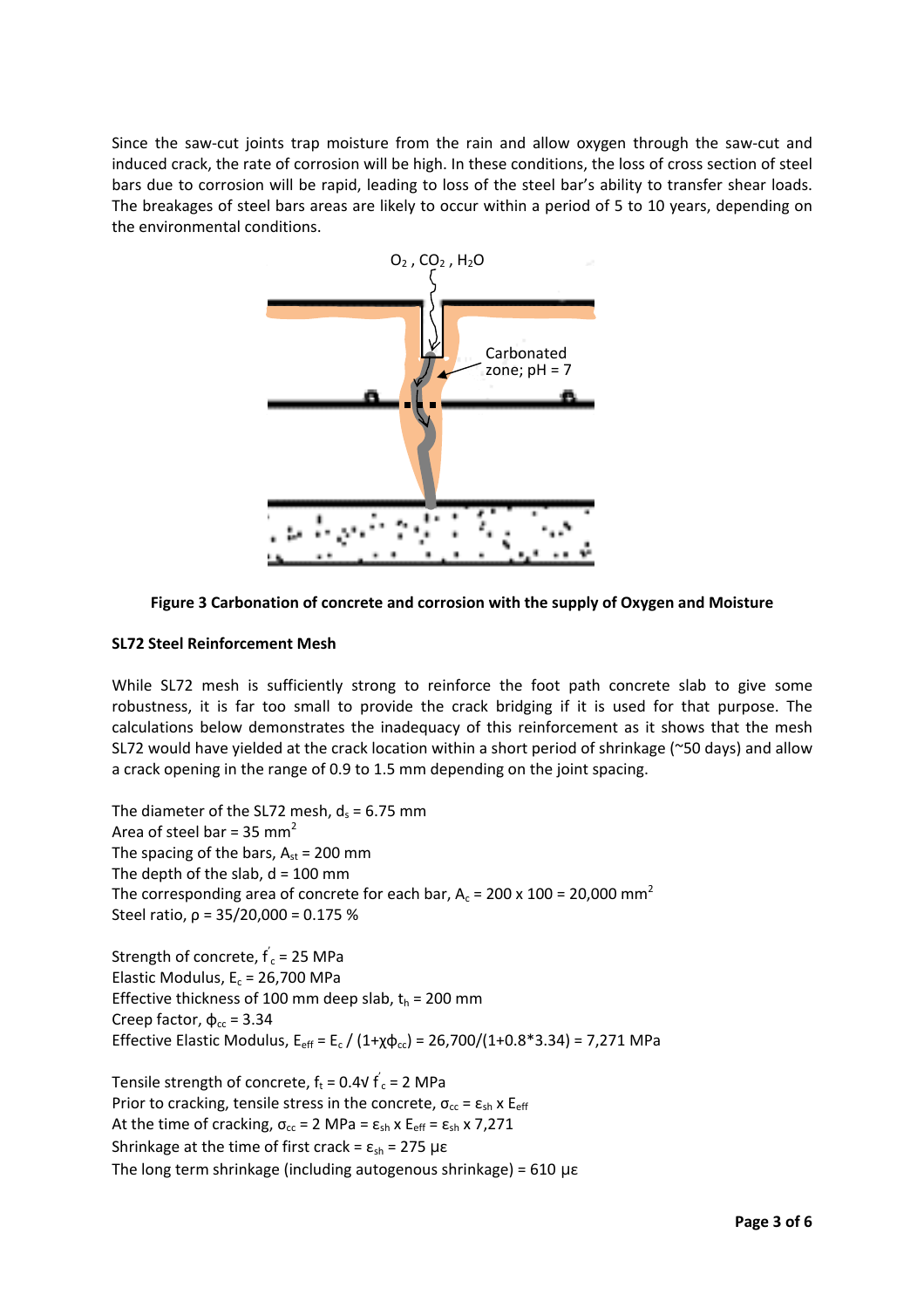Since the saw-cut joints trap moisture from the rain and allow oxygen through the saw-cut and induced crack, the rate of corrosion will be high. In these conditions, the loss of cross section of steel bars due to corrosion will be rapid, leading to loss of the steel bar's ability to transfer shear loads. The breakages of steel bars areas are likely to occur within a period of 5 to 10 years, depending on the environmental conditions.





# **SL72 Steel Reinforcement Mesh**

While SL72 mesh is sufficiently strong to reinforce the foot path concrete slab to give some robustness, it is far too small to provide the crack bridging if it is used for that purpose. The calculations below demonstrates the inadequacy of this reinforcement as it shows that the mesh SL72 would have yielded at the crack location within a short period of shrinkage (~50 days) and allow a crack opening in the range of 0.9 to 1.5 mm depending on the joint spacing.

The diameter of the SL72 mesh,  $d_s = 6.75$  mm Area of steel bar =  $35$  mm<sup>2</sup> The spacing of the bars,  $A_{st}$  = 200 mm The depth of the slab,  $d = 100$  mm The corresponding area of concrete for each bar,  $A_c = 200 \times 100 = 20,000$  mm<sup>2</sup> Steel ratio, ρ = 35/20,000 = 0.175 %

Strength of concrete,  $f_c$  = 25 MPa Elastic Modulus,  $E_c = 26,700$  MPa Effective thickness of 100 mm deep slab,  $t_h$  = 200 mm Creep factor,  $\phi_{cc}$  = 3.34 Effective Elastic Modulus,  $E_{\text{eff}} = E_c / (1 + \chi \phi_{cc}) = 26,700/(1 + 0.8 * 3.34) = 7,271$  MPa

Tensile strength of concrete,  $f_t$  = 0.4V  $\acute{f}_c$  = 2 MPa Prior to cracking, tensile stress in the concrete,  $\sigma_{cc} = \varepsilon_{sh} x E_{eff}$ At the time of cracking,  $\sigma_{cc}$  = 2 MPa =  $\varepsilon_{sh}$  x E<sub>eff</sub> =  $\varepsilon_{sh}$  x 7,271 Shrinkage at the time of first crack =  $\varepsilon_{\rm sh}$  = 275 µ $\varepsilon$ The long term shrinkage (including autogenous shrinkage) = 610 µε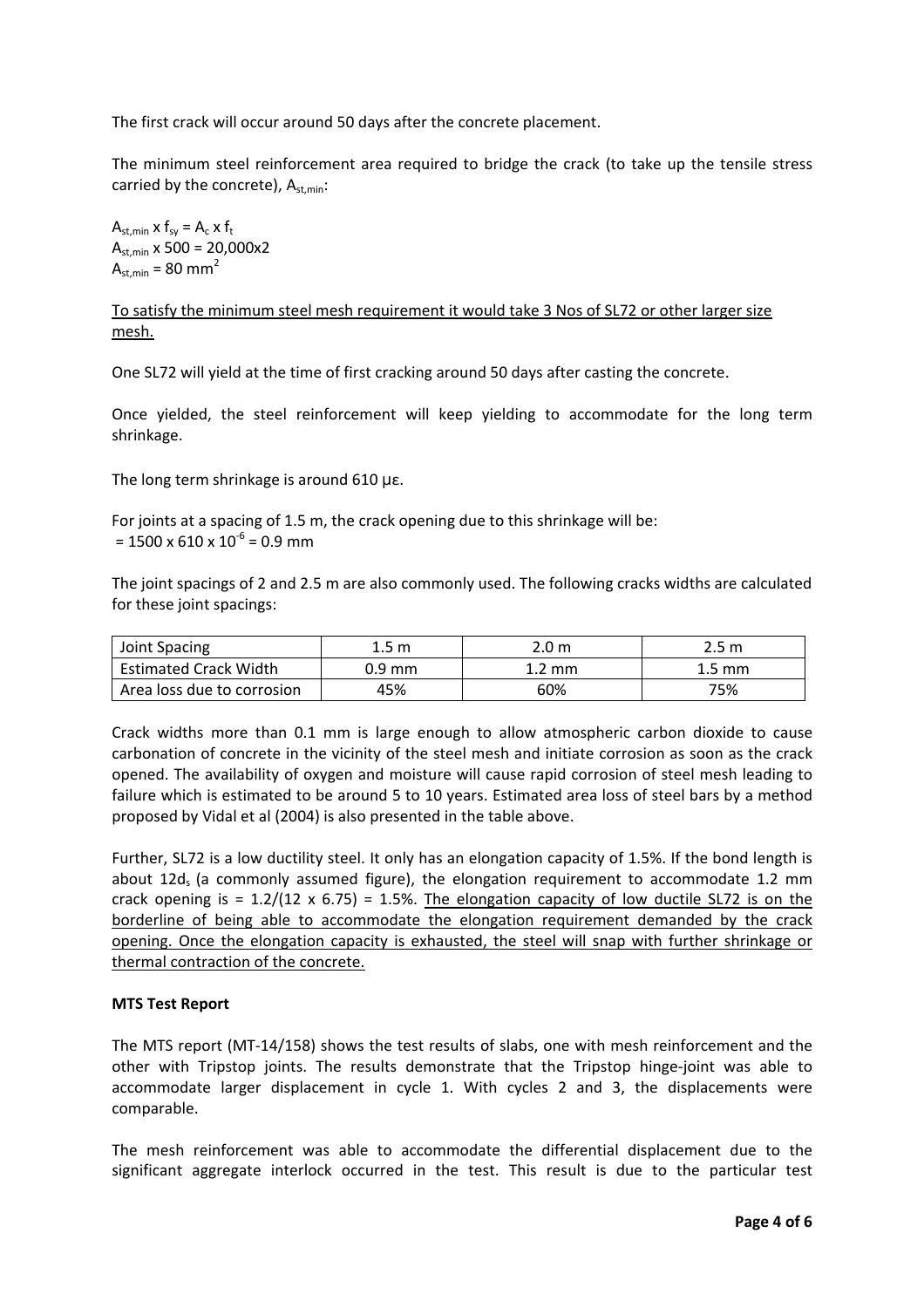The first crack will occur around 50 days after the concrete placement.

The minimum steel reinforcement area required to bridge the crack (to take up the tensile stress carried by the concrete),  $A_{\text{st,min}}$ :

 $A_{\text{st,min}}$  x  $f_{\text{sv}} = A_c$  x  $f_t$  $A_{st,min}$  x 500 = 20,000x2  $A<sub>st,min</sub> = 80$  mm<sup>2</sup>

To satisfy the minimum steel mesh requirement it would take 3 Nos of SL72 or other larger size mesh.

One SL72 will yield at the time of first cracking around 50 days after casting the concrete.

Once yielded, the steel reinforcement will keep yielding to accommodate for the long term shrinkage.

The long term shrinkage is around 610 µε.

For joints at a spacing of 1.5 m, the crack opening due to this shrinkage will be:  $= 1500 \times 610 \times 10^{-6} = 0.9$  mm

The joint spacings of 2 and 2.5 m are also commonly used. The following cracks widths are calculated for these joint spacings:

| Joint Spacing                | 1.5 m  | 2.0 m          | 2.5 m  |
|------------------------------|--------|----------------|--------|
| <b>Estimated Crack Width</b> | 0.9 mm | L. <b>2 mm</b> | 1.5 mm |
| Area loss due to corrosion   | 45%    | 60%            | 75%    |

Crack widths more than 0.1 mm is large enough to allow atmospheric carbon dioxide to cause carbonation of concrete in the vicinity of the steel mesh and initiate corrosion as soon as the crack opened. The availability of oxygen and moisture will cause rapid corrosion of steel mesh leading to failure which is estimated to be around 5 to 10 years. Estimated area loss of steel bars by a method proposed by Vidal et al (2004) is also presented in the table above.

Further, SL72 is a low ductility steel. It only has an elongation capacity of 1.5%. If the bond length is about 12d<sub>s</sub> (a commonly assumed figure), the elongation requirement to accommodate 1.2 mm crack opening is =  $1.2/(12 \times 6.75)$  = 1.5%. The elongation capacity of low ductile SL72 is on the borderline of being able to accommodate the elongation requirement demanded by the crack opening. Once the elongation capacity is exhausted, the steel will snap with further shrinkage or thermal contraction of the concrete.

# **MTS Test Report**

The MTS report (MT‐14/158) shows the test results of slabs, one with mesh reinforcement and the other with Tripstop joints. The results demonstrate that the Tripstop hinge-joint was able to accommodate larger displacement in cycle 1. With cycles 2 and 3, the displacements were comparable.

The mesh reinforcement was able to accommodate the differential displacement due to the significant aggregate interlock occurred in the test. This result is due to the particular test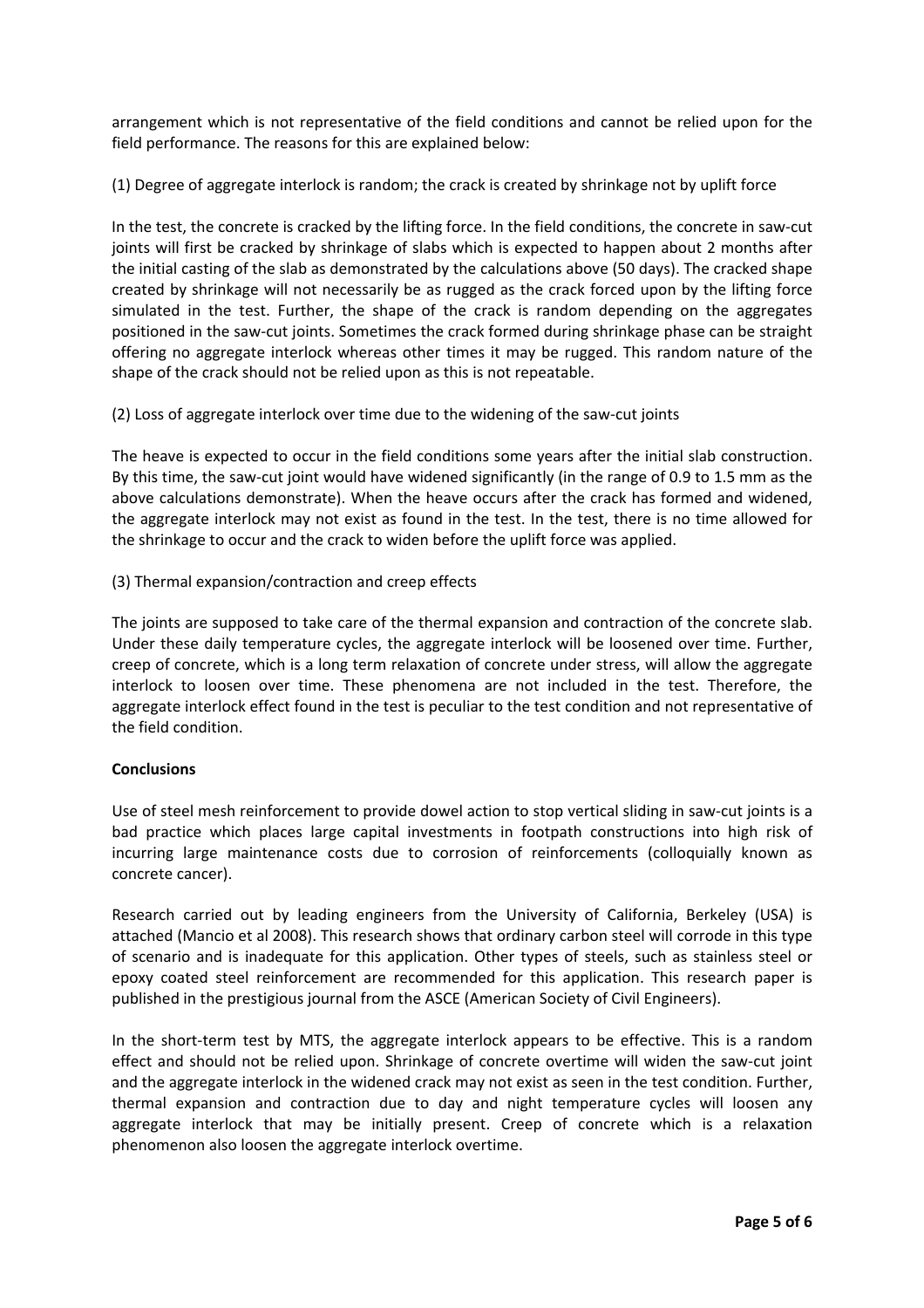arrangement which is not representative of the field conditions and cannot be relied upon for the field performance. The reasons for this are explained below:

(1) Degree of aggregate interlock is random; the crack is created by shrinkage not by uplift force

In the test, the concrete is cracked by the lifting force. In the field conditions, the concrete in saw-cut joints will first be cracked by shrinkage of slabs which is expected to happen about 2 months after the initial casting of the slab as demonstrated by the calculations above (50 days). The cracked shape created by shrinkage will not necessarily be as rugged as the crack forced upon by the lifting force simulated in the test. Further, the shape of the crack is random depending on the aggregates positioned in the saw‐cut joints. Sometimes the crack formed during shrinkage phase can be straight offering no aggregate interlock whereas other times it may be rugged. This random nature of the shape of the crack should not be relied upon as this is not repeatable.

(2) Loss of aggregate interlock over time due to the widening of the saw‐cut joints

The heave is expected to occur in the field conditions some years after the initial slab construction. By this time, the saw‐cut joint would have widened significantly (in the range of 0.9 to 1.5 mm as the above calculations demonstrate). When the heave occurs after the crack has formed and widened, the aggregate interlock may not exist as found in the test. In the test, there is no time allowed for the shrinkage to occur and the crack to widen before the uplift force was applied.

(3) Thermal expansion/contraction and creep effects

The joints are supposed to take care of the thermal expansion and contraction of the concrete slab. Under these daily temperature cycles, the aggregate interlock will be loosened over time. Further, creep of concrete, which is a long term relaxation of concrete under stress, will allow the aggregate interlock to loosen over time. These phenomena are not included in the test. Therefore, the aggregate interlock effect found in the test is peculiar to the test condition and not representative of the field condition.

# **Conclusions**

Use of steel mesh reinforcement to provide dowel action to stop vertical sliding in saw‐cut joints is a bad practice which places large capital investments in footpath constructions into high risk of incurring large maintenance costs due to corrosion of reinforcements (colloquially known as concrete cancer).

Research carried out by leading engineers from the University of California, Berkeley (USA) is attached (Mancio et al 2008). This research shows that ordinary carbon steel will corrode in this type of scenario and is inadequate for this application. Other types of steels, such as stainless steel or epoxy coated steel reinforcement are recommended for this application. This research paper is published in the prestigious journal from the ASCE (American Society of Civil Engineers).

In the short-term test by MTS, the aggregate interlock appears to be effective. This is a random effect and should not be relied upon. Shrinkage of concrete overtime will widen the saw‐cut joint and the aggregate interlock in the widened crack may not exist as seen in the test condition. Further, thermal expansion and contraction due to day and night temperature cycles will loosen any aggregate interlock that may be initially present. Creep of concrete which is a relaxation phenomenon also loosen the aggregate interlock overtime.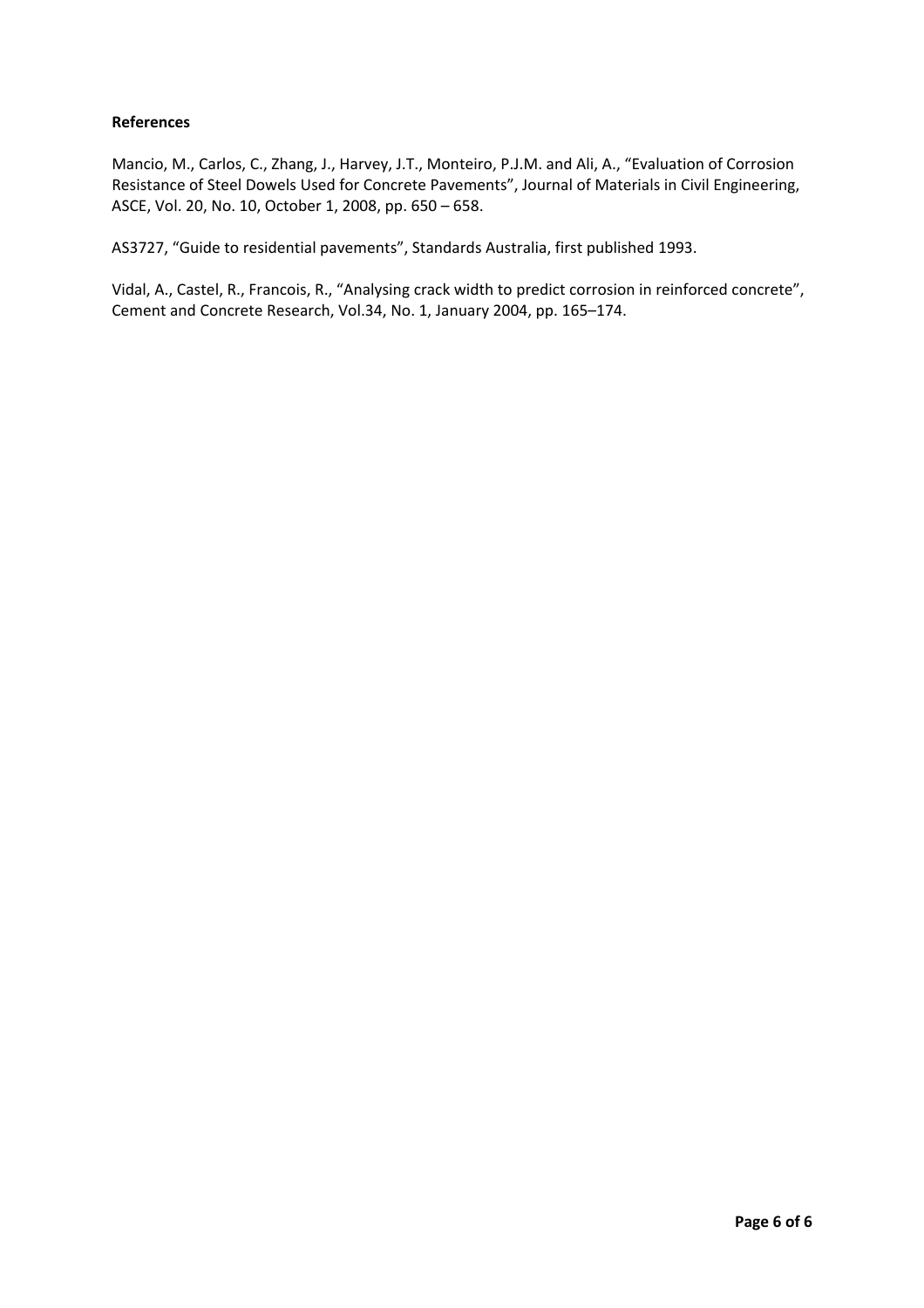# **References**

Mancio, M., Carlos, C., Zhang, J., Harvey, J.T., Monteiro, P.J.M. and Ali, A., "Evaluation of Corrosion Resistance of Steel Dowels Used for Concrete Pavements", Journal of Materials in Civil Engineering, ASCE, Vol. 20, No. 10, October 1, 2008, pp. 650 – 658.

AS3727, "Guide to residential pavements", Standards Australia, first published 1993.

Vidal, A., Castel, R., Francois, R., "Analysing crack width to predict corrosion in reinforced concrete", Cement and Concrete Research, Vol.34, No. 1, January 2004, pp. 165–174.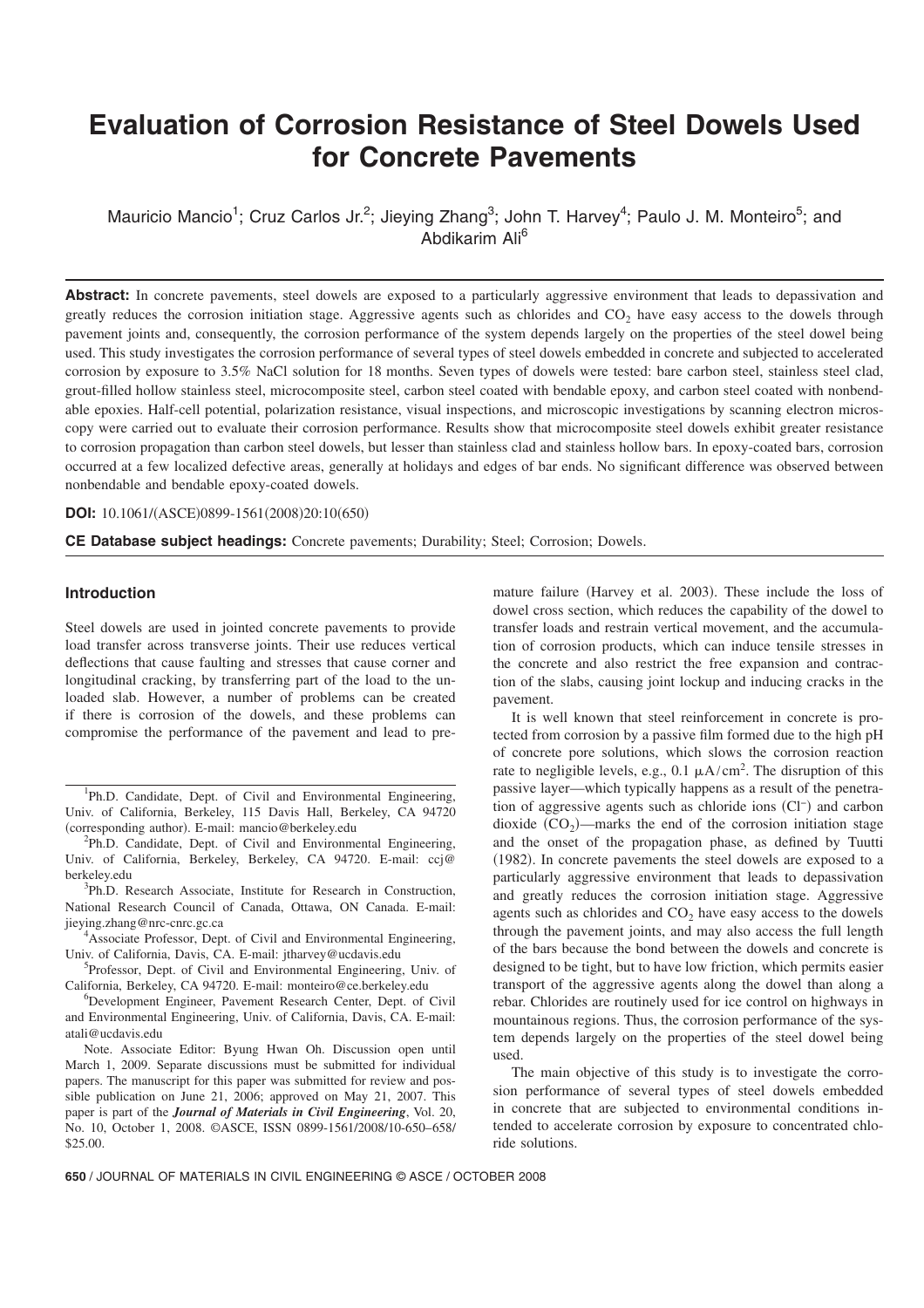# **Evaluation of Corrosion Resistance of Steel Dowels Used for Concrete Pavements**

Mauricio Mancio<sup>1</sup>; Cruz Carlos Jr.<sup>2</sup>; Jieying Zhang<sup>3</sup>; John T. Harvey<sup>4</sup>; Paulo J. M. Monteiro<sup>5</sup>; and Abdikarim Ali6

Abstract: In concrete pavements, steel dowels are exposed to a particularly aggressive environment that leads to depassivation and greatly reduces the corrosion initiation stage. Aggressive agents such as chlorides and  $CO<sub>2</sub>$  have easy access to the dowels through pavement joints and, consequently, the corrosion performance of the system depends largely on the properties of the steel dowel being used. This study investigates the corrosion performance of several types of steel dowels embedded in concrete and subjected to accelerated corrosion by exposure to 3.5% NaCl solution for 18 months. Seven types of dowels were tested: bare carbon steel, stainless steel clad, grout-filled hollow stainless steel, microcomposite steel, carbon steel coated with bendable epoxy, and carbon steel coated with nonbendable epoxies. Half-cell potential, polarization resistance, visual inspections, and microscopic investigations by scanning electron microscopy were carried out to evaluate their corrosion performance. Results show that microcomposite steel dowels exhibit greater resistance to corrosion propagation than carbon steel dowels, but lesser than stainless clad and stainless hollow bars. In epoxy-coated bars, corrosion occurred at a few localized defective areas, generally at holidays and edges of bar ends. No significant difference was observed between nonbendable and bendable epoxy-coated dowels.

**DOI:** 10.1061/(ASCE)0899-1561(2008)20:10(650)

**CE Database subject headings:** Concrete pavements; Durability; Steel; Corrosion; Dowels.

#### **Introduction**

Steel dowels are used in jointed concrete pavements to provide load transfer across transverse joints. Their use reduces vertical deflections that cause faulting and stresses that cause corner and longitudinal cracking, by transferring part of the load to the unloaded slab. However, a number of problems can be created if there is corrosion of the dowels, and these problems can compromise the performance of the pavement and lead to pre-

<sup>1</sup>Ph.D. Candidate, Dept. of Civil and Environmental Engineering, Univ. of California, Berkeley, 115 Davis Hall, Berkeley, CA 94720 (corresponding author). E-mail: mancio@berkeley.edu<br><sup>2</sup>Pb D. Condidate, Dant, of Civil and Environment

 $P<sup>2</sup>Ph.D.$  Candidate, Dept. of Civil and Environmental Engineering, Univ. of California, Berkeley, Berkeley, CA 94720. E-mail: ccj@ berkeley.edu <sup>3</sup>

<sup>3</sup>Ph.D. Research Associate, Institute for Research in Construction, National Research Council of Canada, Ottawa, ON Canada. E-mail: jieying.zhang@nrc-cnrc.gc.ca <sup>4</sup>

<sup>4</sup> Associate Professor, Dept. of Civil and Environmental Engineering, Univ. of California, Davis, CA. E-mail: jtharvey@ucdavis.edu <sup>5</sup>

<sup>5</sup>Professor, Dept. of Civil and Environmental Engineering, Univ. of California, Berkeley, CA 94720. E-mail: monteiro@ce.berkeley.edu <sup>6</sup>

<sup>6</sup>Development Engineer, Pavement Research Center, Dept. of Civil and Environmental Engineering, Univ. of California, Davis, CA. E-mail: atali@ucdavis.edu

Note. Associate Editor: Byung Hwan Oh. Discussion open until March 1, 2009. Separate discussions must be submitted for individual papers. The manuscript for this paper was submitted for review and possible publication on June 21, 2006; approved on May 21, 2007. This paper is part of the *Journal of Materials in Civil Engineering*, Vol. 20, No. 10, October 1, 2008. ©ASCE, ISSN 0899-1561/2008/10-650–658/ \$25.00.

mature failure (Harvey et al. 2003). These include the loss of dowel cross section, which reduces the capability of the dowel to transfer loads and restrain vertical movement, and the accumulation of corrosion products, which can induce tensile stresses in the concrete and also restrict the free expansion and contraction of the slabs, causing joint lockup and inducing cracks in the pavement.

It is well known that steel reinforcement in concrete is protected from corrosion by a passive film formed due to the high pH of concrete pore solutions, which slows the corrosion reaction rate to negligible levels, e.g., 0.1  $\mu A/cm^2$ . The disruption of this passive layer—which typically happens as a result of the penetration of aggressive agents such as chloride ions (Cl<sup>−</sup>) and carbon dioxide  $(CO_2)$ —marks the end of the corrosion initiation stage and the onset of the propagation phase, as defined by Tuutti (1982). In concrete pavements the steel dowels are exposed to a particularly aggressive environment that leads to depassivation and greatly reduces the corrosion initiation stage. Aggressive agents such as chlorides and  $CO<sub>2</sub>$  have easy access to the dowels through the pavement joints, and may also access the full length of the bars because the bond between the dowels and concrete is designed to be tight, but to have low friction, which permits easier transport of the aggressive agents along the dowel than along a rebar. Chlorides are routinely used for ice control on highways in mountainous regions. Thus, the corrosion performance of the system depends largely on the properties of the steel dowel being used.

The main objective of this study is to investigate the corrosion performance of several types of steel dowels embedded in concrete that are subjected to environmental conditions intended to accelerate corrosion by exposure to concentrated chloride solutions.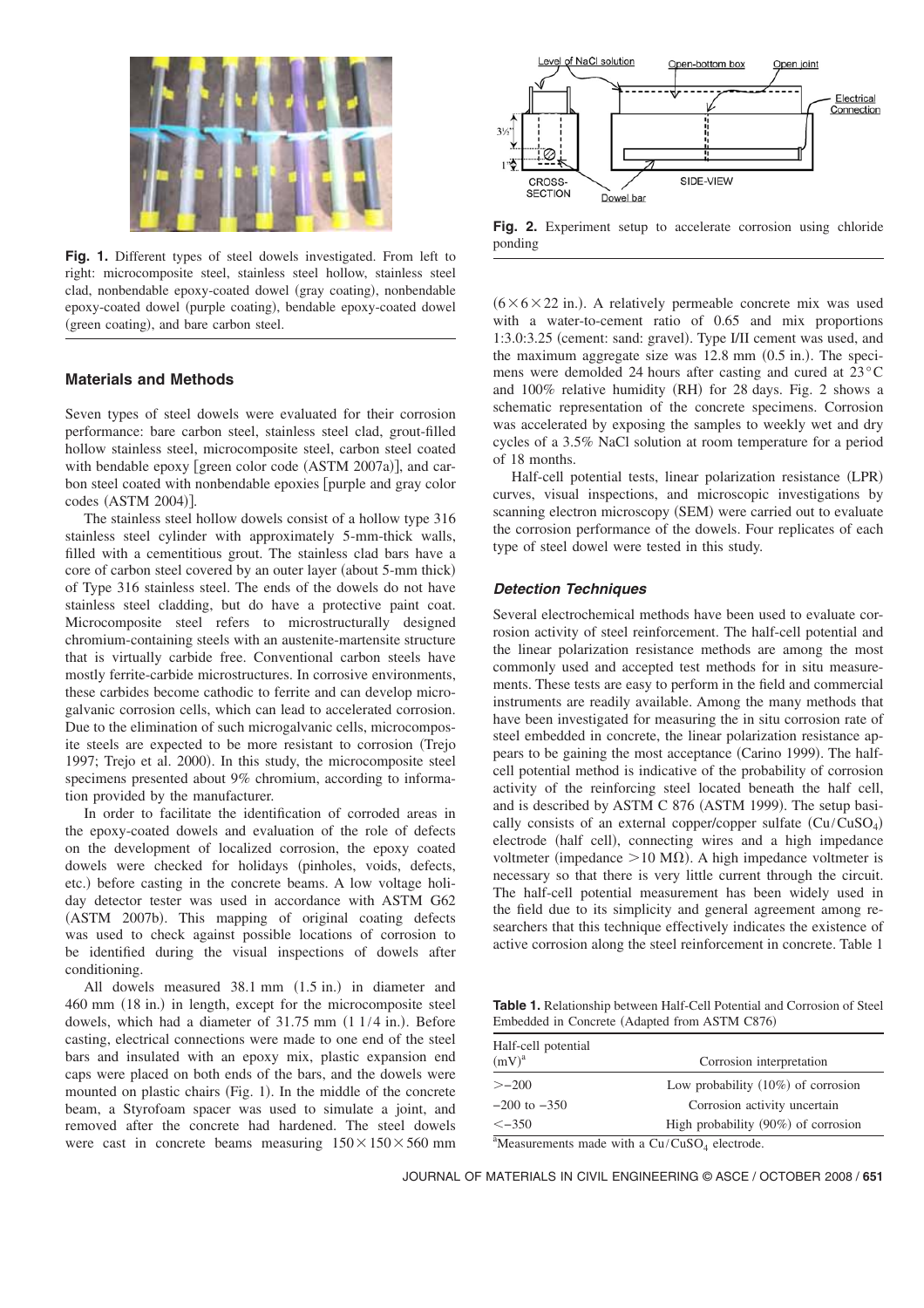

**Fig. 1.** Different types of steel dowels investigated. From left to right: microcomposite steel, stainless steel hollow, stainless steel clad, nonbendable epoxy-coated dowel (gray coating), nonbendable epoxy-coated dowel (purple coating), bendable epoxy-coated dowel (green coating), and bare carbon steel.

### **Materials and Methods**

Seven types of steel dowels were evaluated for their corrosion performance: bare carbon steel, stainless steel clad, grout-filled hollow stainless steel, microcomposite steel, carbon steel coated with bendable epoxy [green color code (ASTM 2007a)], and carbon steel coated with nonbendable epoxies [purple and gray color codes (ASTM 2004)].

The stainless steel hollow dowels consist of a hollow type 316 stainless steel cylinder with approximately 5-mm-thick walls, filled with a cementitious grout. The stainless clad bars have a core of carbon steel covered by an outer layer (about 5-mm thick) of Type 316 stainless steel. The ends of the dowels do not have stainless steel cladding, but do have a protective paint coat. Microcomposite steel refers to microstructurally designed chromium-containing steels with an austenite-martensite structure that is virtually carbide free. Conventional carbon steels have mostly ferrite-carbide microstructures. In corrosive environments, these carbides become cathodic to ferrite and can develop microgalvanic corrosion cells, which can lead to accelerated corrosion. Due to the elimination of such microgalvanic cells, microcomposite steels are expected to be more resistant to corrosion (Trejo 1997; Trejo et al. 2000. In this study, the microcomposite steel specimens presented about 9% chromium, according to information provided by the manufacturer.

In order to facilitate the identification of corroded areas in the epoxy-coated dowels and evaluation of the role of defects on the development of localized corrosion, the epoxy coated dowels were checked for holidays (pinholes, voids, defects, etc.) before casting in the concrete beams. A low voltage holiday detector tester was used in accordance with ASTM G62 (ASTM 2007b). This mapping of original coating defects was used to check against possible locations of corrosion to be identified during the visual inspections of dowels after conditioning.

All dowels measured  $38.1$  mm  $(1.5 \text{ in.})$  in diameter and 460 mm (18 in.) in length, except for the microcomposite steel dowels, which had a diameter of  $31.75$  mm  $(11/4$  in.). Before casting, electrical connections were made to one end of the steel bars and insulated with an epoxy mix, plastic expansion end caps were placed on both ends of the bars, and the dowels were mounted on plastic chairs (Fig. 1). In the middle of the concrete beam, a Styrofoam spacer was used to simulate a joint, and removed after the concrete had hardened. The steel dowels were cast in concrete beams measuring  $150 \times 150 \times 560$  mm



**Fig. 2.** Experiment setup to accelerate corrosion using chloride ponding

 $(6 \times 6 \times 22)$  in.). A relatively permeable concrete mix was used with a water-to-cement ratio of 0.65 and mix proportions 1:3.0:3.25 (cement: sand: gravel). Type I/II cement was used, and the maximum aggregate size was  $12.8$  mm  $(0.5$  in.). The specimens were demolded 24 hours after casting and cured at 23°C and 100% relative humidity (RH) for 28 days. Fig. 2 shows a schematic representation of the concrete specimens. Corrosion was accelerated by exposing the samples to weekly wet and dry cycles of a 3.5% NaCl solution at room temperature for a period of 18 months.

Half-cell potential tests, linear polarization resistance (LPR) curves, visual inspections, and microscopic investigations by scanning electron microscopy (SEM) were carried out to evaluate the corrosion performance of the dowels. Four replicates of each type of steel dowel were tested in this study.

### *Detection Techniques*

Several electrochemical methods have been used to evaluate corrosion activity of steel reinforcement. The half-cell potential and the linear polarization resistance methods are among the most commonly used and accepted test methods for in situ measurements. These tests are easy to perform in the field and commercial instruments are readily available. Among the many methods that have been investigated for measuring the in situ corrosion rate of steel embedded in concrete, the linear polarization resistance appears to be gaining the most acceptance (Carino 1999). The halfcell potential method is indicative of the probability of corrosion activity of the reinforcing steel located beneath the half cell, and is described by ASTM C 876 (ASTM 1999). The setup basically consists of an external copper/copper sulfate  $(Cu/CuSO<sub>4</sub>)$ electrode (half cell), connecting wires and a high impedance voltmeter (impedance  $>$  10 M $\Omega$ ). A high impedance voltmeter is necessary so that there is very little current through the circuit. The half-cell potential measurement has been widely used in the field due to its simplicity and general agreement among researchers that this technique effectively indicates the existence of active corrosion along the steel reinforcement in concrete. Table 1

**Table 1.** Relationship between Half-Cell Potential and Corrosion of Steel Embedded in Concrete (Adapted from ASTM C876)

| Half-cell potential<br>$(mV)^a$ | Corrosion interpretation               |
|---------------------------------|----------------------------------------|
| $> -200$                        | Low probability $(10\%)$ of corrosion  |
| $-200$ to $-350$                | Corrosion activity uncertain           |
| $\le -350$                      | High probability $(90\%)$ of corrosion |

 $a<sup>a</sup>$ Measurements made with a Cu/CuSO<sub>4</sub> electrode.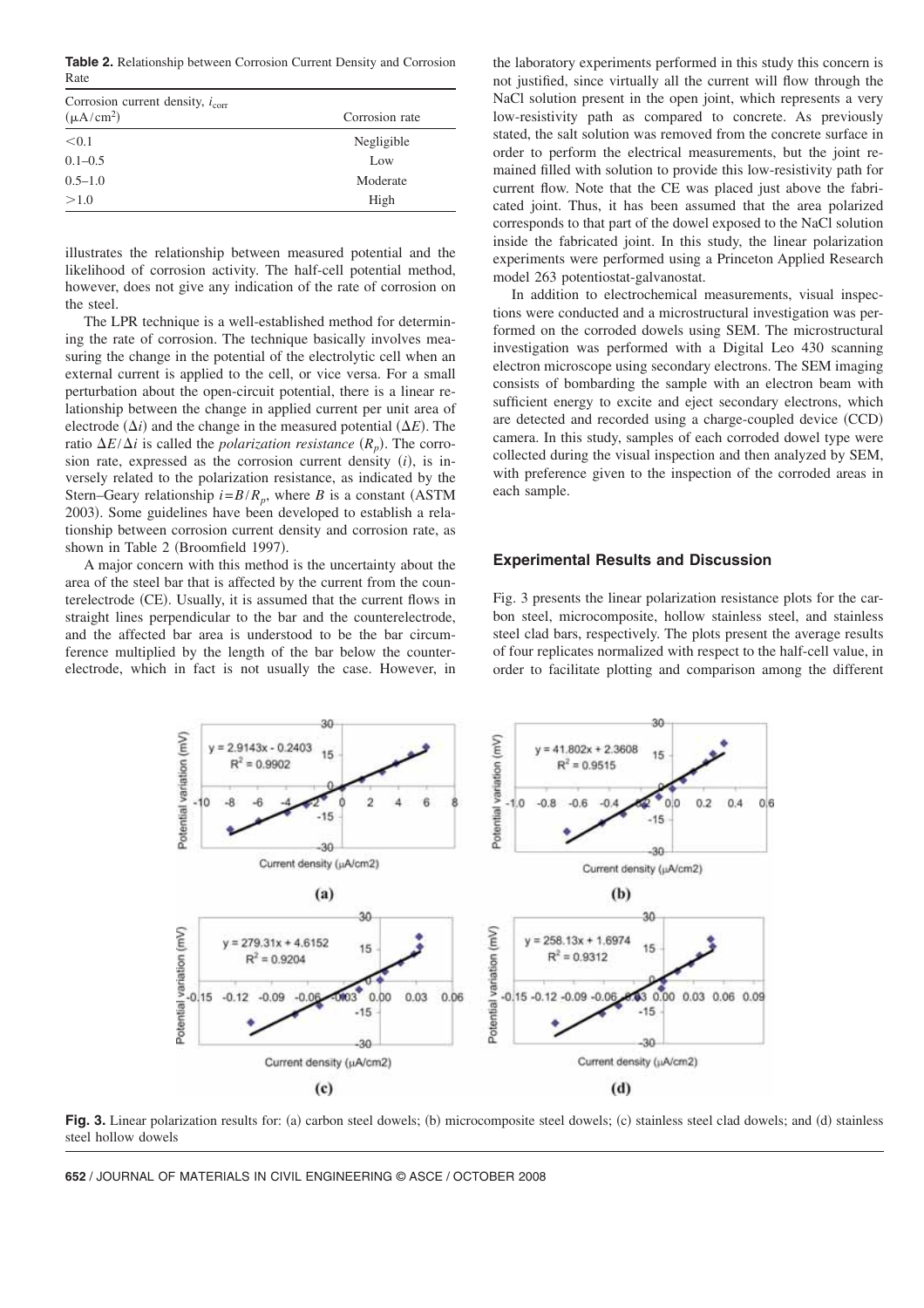**Table 2.** Relationship between Corrosion Current Density and Corrosion Rate

| Corrosion current density, $i_{corr}$<br>$(\mu A/cm^2)$ | Corrosion rate |
|---------------------------------------------------------|----------------|
| < 0.1                                                   | Negligible     |
| $0.1 - 0.5$                                             | Low            |
| $0.5 - 1.0$                                             | Moderate       |
| >1.0                                                    | High           |

illustrates the relationship between measured potential and the likelihood of corrosion activity. The half-cell potential method, however, does not give any indication of the rate of corrosion on the steel.

The LPR technique is a well-established method for determining the rate of corrosion. The technique basically involves measuring the change in the potential of the electrolytic cell when an external current is applied to the cell, or vice versa. For a small perturbation about the open-circuit potential, there is a linear relationship between the change in applied current per unit area of electrode  $(\Delta i)$  and the change in the measured potential  $(\Delta E)$ . The ratio  $\Delta E/\Delta i$  is called the *polarization resistance*  $(R_p)$ . The corrosion rate, expressed as the corrosion current density  $(i)$ , is inversely related to the polarization resistance, as indicated by the Stern–Geary relationship  $i = B/R_p$ , where *B* is a constant (ASTM 2003. Some guidelines have been developed to establish a relationship between corrosion current density and corrosion rate, as shown in Table 2 (Broomfield 1997).

A major concern with this method is the uncertainty about the area of the steel bar that is affected by the current from the counterelectrode (CE). Usually, it is assumed that the current flows in straight lines perpendicular to the bar and the counterelectrode, and the affected bar area is understood to be the bar circumference multiplied by the length of the bar below the counterelectrode, which in fact is not usually the case. However, in

the laboratory experiments performed in this study this concern is not justified, since virtually all the current will flow through the NaCl solution present in the open joint, which represents a very low-resistivity path as compared to concrete. As previously stated, the salt solution was removed from the concrete surface in order to perform the electrical measurements, but the joint remained filled with solution to provide this low-resistivity path for current flow. Note that the CE was placed just above the fabricated joint. Thus, it has been assumed that the area polarized corresponds to that part of the dowel exposed to the NaCl solution inside the fabricated joint. In this study, the linear polarization experiments were performed using a Princeton Applied Research model 263 potentiostat-galvanostat.

In addition to electrochemical measurements, visual inspections were conducted and a microstructural investigation was performed on the corroded dowels using SEM. The microstructural investigation was performed with a Digital Leo 430 scanning electron microscope using secondary electrons. The SEM imaging consists of bombarding the sample with an electron beam with sufficient energy to excite and eject secondary electrons, which are detected and recorded using a charge-coupled device (CCD) camera. In this study, samples of each corroded dowel type were collected during the visual inspection and then analyzed by SEM, with preference given to the inspection of the corroded areas in each sample.

### **Experimental Results and Discussion**

Fig. 3 presents the linear polarization resistance plots for the carbon steel, microcomposite, hollow stainless steel, and stainless steel clad bars, respectively. The plots present the average results of four replicates normalized with respect to the half-cell value, in order to facilitate plotting and comparison among the different



Fig. 3. Linear polarization results for: (a) carbon steel dowels; (b) microcomposite steel dowels; (c) stainless steel clad dowels; and (d) stainless steel hollow dowels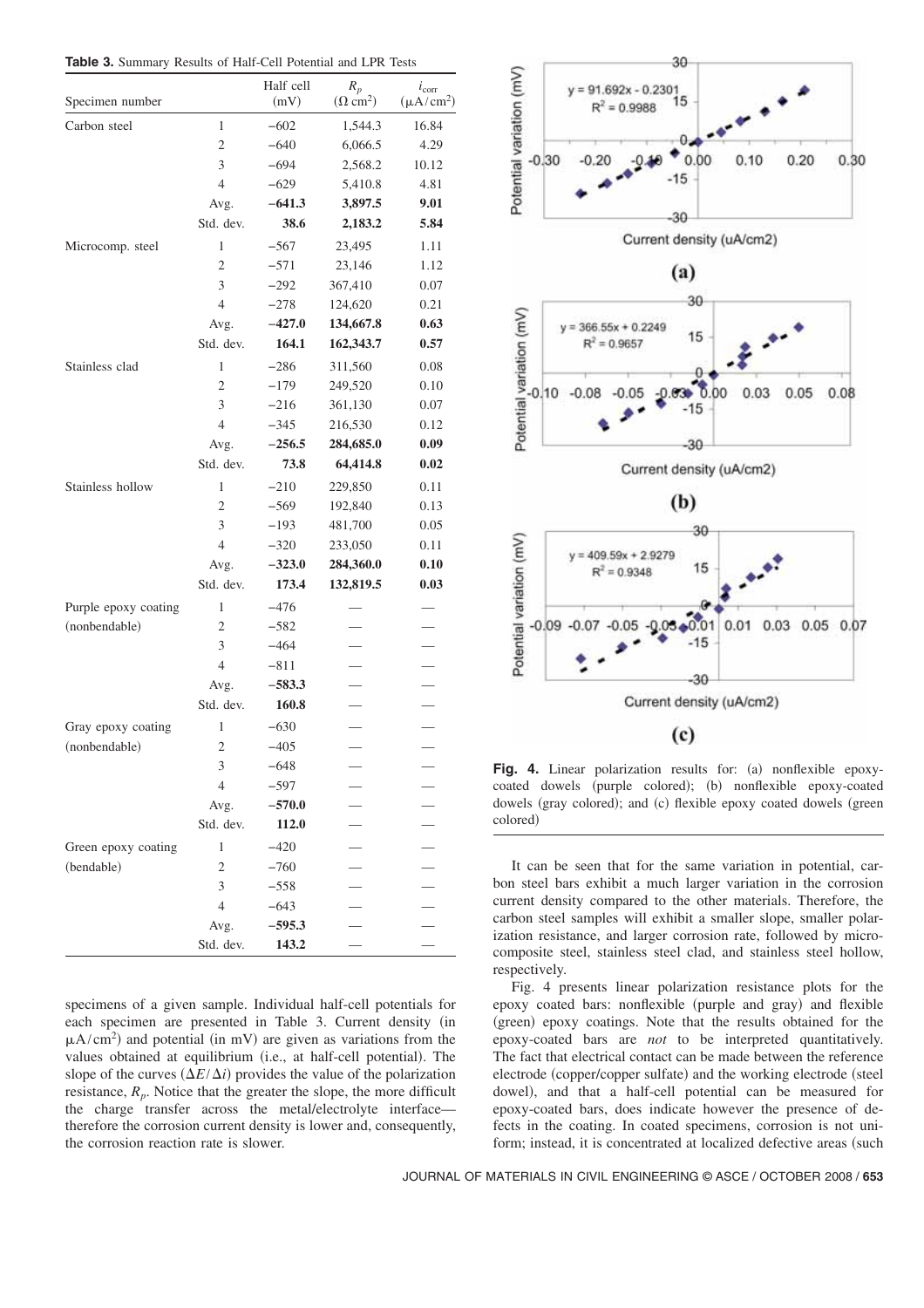| Table 3. Summary Results of Half-Cell Potential and LPR Tests |  |  |  |  |  |  |  |  |
|---------------------------------------------------------------|--|--|--|--|--|--|--|--|
|---------------------------------------------------------------|--|--|--|--|--|--|--|--|

| Specimen number      |                | Half cell<br>(mV) | $R_p$<br>$(\Omega \text{ cm}^2)$ | $i_{\rm corr}$<br>$(\mu A/cm^2)$ |
|----------------------|----------------|-------------------|----------------------------------|----------------------------------|
| Carbon steel         | 1              | $-602$            | 1,544.3                          | 16.84                            |
|                      | $\overline{c}$ | -640              | 6,066.5                          | 4.29                             |
|                      | 3              | $-694$            | 2,568.2                          | 10.12                            |
|                      | $\overline{4}$ | $-629$            | 5,410.8                          | 4.81                             |
|                      | Avg.           | $-641.3$          | 3,897.5                          | 9.01                             |
|                      | Std. dev.      | 38.6              | 2,183.2                          | 5.84                             |
| Microcomp. steel     | 1              | $-567$            | 23,495                           | 1.11                             |
|                      | $\overline{2}$ | $-571$            | 23,146                           | 1.12                             |
|                      | 3              | $-292$            | 367,410                          | 0.07                             |
|                      | $\overline{4}$ | -278              | 124,620                          | 0.21                             |
|                      | Avg.           | $-427.0$          | 134,667.8                        | 0.63                             |
|                      | Std. dev.      | 164.1             | 162,343.7                        | 0.57                             |
| Stainless clad       | 1              | $-286$            | 311,560                          | 0.08                             |
|                      | $\overline{c}$ | $-179$            | 249,520                          | 0.10                             |
|                      | 3              | -216              | 361,130                          | 0.07                             |
|                      | $\overline{4}$ | $-345$            | 216,530                          | 0.12                             |
|                      | Avg.           | $-256.5$          | 284,685.0                        | 0.09                             |
|                      | Std. dev.      | 73.8              | 64,414.8                         | 0.02                             |
| Stainless hollow     | 1              | $-210$            | 229,850                          | 0.11                             |
|                      | $\overline{c}$ | $-569$            | 192,840                          | 0.13                             |
|                      | 3              | $-193$            | 481,700                          | 0.05                             |
|                      | $\overline{4}$ | -320              | 233,050                          | 0.11                             |
|                      | Avg.           | $-323.0$          | 284,360.0                        | 0.10                             |
|                      | Std. dev.      | 173.4             | 132,819.5                        | 0.03                             |
| Purple epoxy coating | 1              | $-476$            |                                  |                                  |
| (nonbendable)        | $\overline{c}$ | $-582$            |                                  | $\overline{\phantom{0}}$         |
|                      | 3              | $-464$            |                                  |                                  |
|                      | $\overline{4}$ | $-811$            |                                  |                                  |
|                      | Avg.           | -583.3            |                                  |                                  |
|                      | Std. dev.      | 160.8             |                                  |                                  |
| Gray epoxy coating   | 1              | $-630$            |                                  |                                  |
| (nonbendable)        | $\overline{2}$ | $-405$            |                                  |                                  |
|                      | 3              | $-648$            |                                  |                                  |
|                      | 4              | $-597$            |                                  |                                  |
|                      | Avg.           | $-570.0$          |                                  |                                  |
|                      | Std. dev.      | 112.0             |                                  |                                  |
| Green epoxy coating  | 1              | $-420$            |                                  |                                  |
| (bendable)           | $\overline{2}$ | $-760$            |                                  |                                  |
|                      | 3              | $-558$            |                                  |                                  |
|                      | $\overline{4}$ | $-643$            |                                  |                                  |
|                      | Avg.           | $-595.3$          |                                  |                                  |
|                      | Std. dev.      | 143.2             |                                  |                                  |

specimens of a given sample. Individual half-cell potentials for each specimen are presented in Table 3. Current density (in  $\mu A$ /cm<sup>2</sup>) and potential (in mV) are given as variations from the values obtained at equilibrium (i.e., at half-cell potential). The slope of the curves  $(\Delta E/\Delta i)$  provides the value of the polarization resistance,  $R_p$ . Notice that the greater the slope, the more difficult the charge transfer across the metal/electrolyte interface therefore the corrosion current density is lower and, consequently, the corrosion reaction rate is slower.



Fig. 4. Linear polarization results for: (a) nonflexible epoxycoated dowels (purple colored); (b) nonflexible epoxy-coated dowels (gray colored); and (c) flexible epoxy coated dowels (green colored

It can be seen that for the same variation in potential, carbon steel bars exhibit a much larger variation in the corrosion current density compared to the other materials. Therefore, the carbon steel samples will exhibit a smaller slope, smaller polarization resistance, and larger corrosion rate, followed by microcomposite steel, stainless steel clad, and stainless steel hollow, respectively.

Fig. 4 presents linear polarization resistance plots for the epoxy coated bars: nonflexible (purple and gray) and flexible (green) epoxy coatings. Note that the results obtained for the epoxy-coated bars are *not* to be interpreted quantitatively. The fact that electrical contact can be made between the reference electrode (copper/copper sulfate) and the working electrode (steel dowel, and that a half-cell potential can be measured for epoxy-coated bars, does indicate however the presence of defects in the coating. In coated specimens, corrosion is not uniform; instead, it is concentrated at localized defective areas (such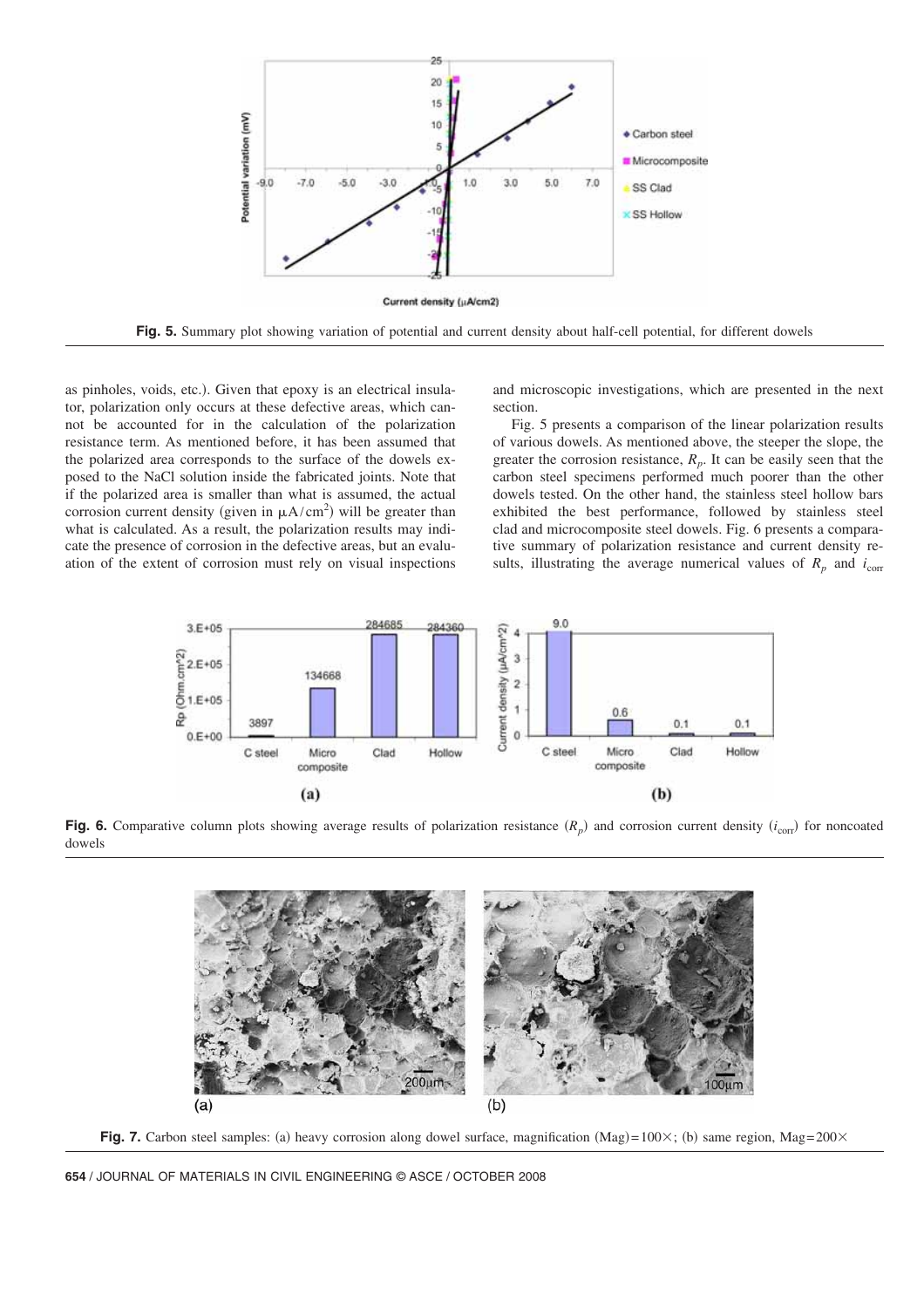

**Fig. 5.** Summary plot showing variation of potential and current density about half-cell potential, for different dowels

as pinholes, voids, etc.). Given that epoxy is an electrical insulator, polarization only occurs at these defective areas, which cannot be accounted for in the calculation of the polarization resistance term. As mentioned before, it has been assumed that the polarized area corresponds to the surface of the dowels exposed to the NaCl solution inside the fabricated joints. Note that if the polarized area is smaller than what is assumed, the actual corrosion current density (given in  $\mu A/cm^2$ ) will be greater than what is calculated. As a result, the polarization results may indicate the presence of corrosion in the defective areas, but an evaluation of the extent of corrosion must rely on visual inspections and microscopic investigations, which are presented in the next section.

Fig. 5 presents a comparison of the linear polarization results of various dowels. As mentioned above, the steeper the slope, the greater the corrosion resistance,  $R_p$ . It can be easily seen that the carbon steel specimens performed much poorer than the other dowels tested. On the other hand, the stainless steel hollow bars exhibited the best performance, followed by stainless steel clad and microcomposite steel dowels. Fig. 6 presents a comparative summary of polarization resistance and current density results, illustrating the average numerical values of  $R_p$  and  $i_{\text{corr}}$ 



**Fig. 6.** Comparative column plots showing average results of polarization resistance  $(R_p)$  and corrosion current density  $(i_{\text{corr}})$  for noncoated dowels



**Fig. 7.** Carbon steel samples: (a) heavy corrosion along dowel surface, magnification  $(Mag) = 100 \times$ ; (b) same region,  $Mag = 200 \times$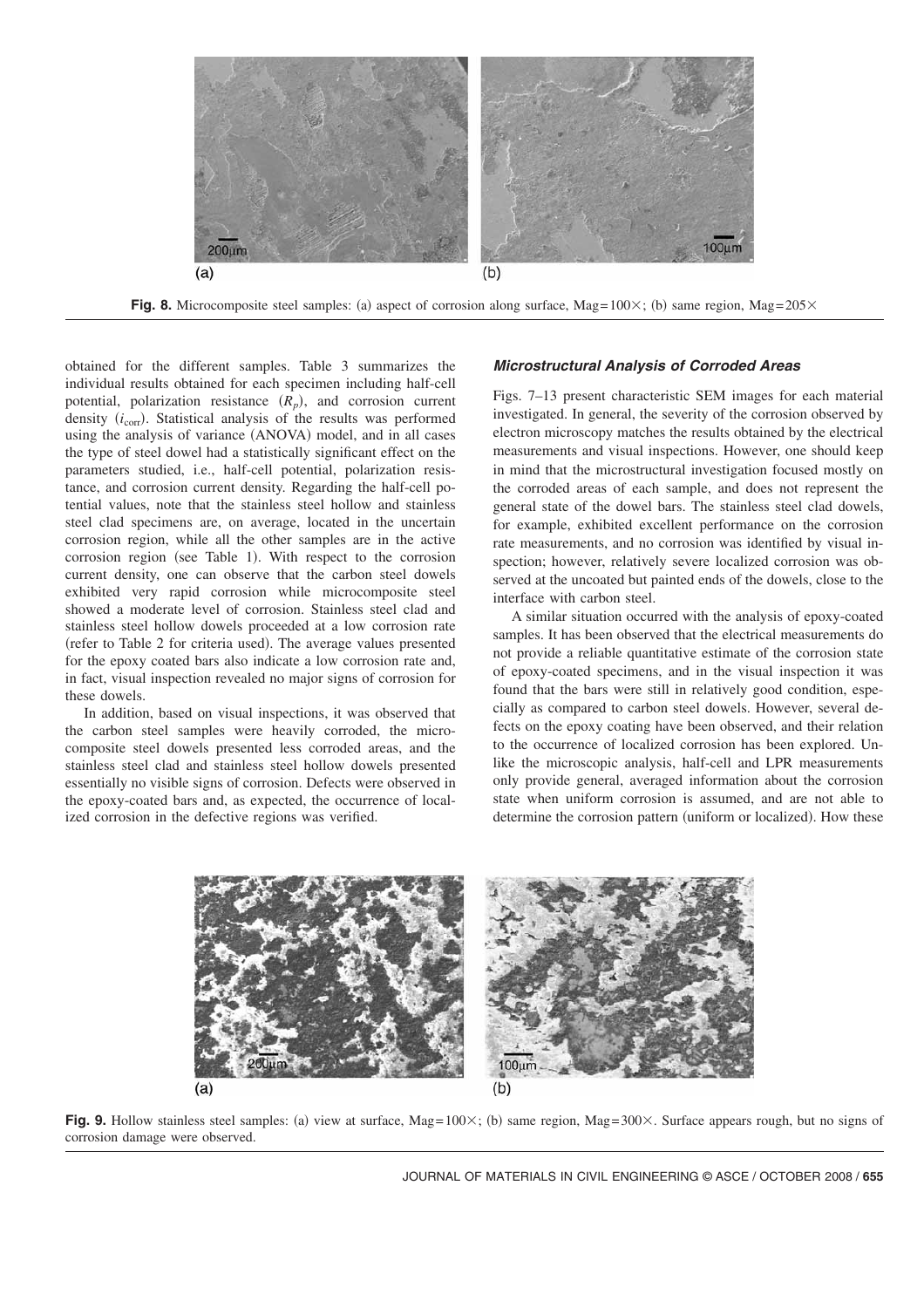

**Fig. 8.** Microcomposite steel samples: (a) aspect of corrosion along surface, Mag= $100 \times$ ; (b) same region, Mag= $205 \times$ 

obtained for the different samples. Table 3 summarizes the individual results obtained for each specimen including half-cell potential, polarization resistance  $(R_p)$ , and corrosion current density  $(i_{\text{corr}})$ . Statistical analysis of the results was performed using the analysis of variance (ANOVA) model, and in all cases the type of steel dowel had a statistically significant effect on the parameters studied, i.e., half-cell potential, polarization resistance, and corrosion current density. Regarding the half-cell potential values, note that the stainless steel hollow and stainless steel clad specimens are, on average, located in the uncertain corrosion region, while all the other samples are in the active corrosion region (see Table 1). With respect to the corrosion current density, one can observe that the carbon steel dowels exhibited very rapid corrosion while microcomposite steel showed a moderate level of corrosion. Stainless steel clad and stainless steel hollow dowels proceeded at a low corrosion rate (refer to Table 2 for criteria used). The average values presented for the epoxy coated bars also indicate a low corrosion rate and, in fact, visual inspection revealed no major signs of corrosion for these dowels.

In addition, based on visual inspections, it was observed that the carbon steel samples were heavily corroded, the microcomposite steel dowels presented less corroded areas, and the stainless steel clad and stainless steel hollow dowels presented essentially no visible signs of corrosion. Defects were observed in the epoxy-coated bars and, as expected, the occurrence of localized corrosion in the defective regions was verified.

### *Microstructural Analysis of Corroded Areas*

Figs. 7–13 present characteristic SEM images for each material investigated. In general, the severity of the corrosion observed by electron microscopy matches the results obtained by the electrical measurements and visual inspections. However, one should keep in mind that the microstructural investigation focused mostly on the corroded areas of each sample, and does not represent the general state of the dowel bars. The stainless steel clad dowels, for example, exhibited excellent performance on the corrosion rate measurements, and no corrosion was identified by visual inspection; however, relatively severe localized corrosion was observed at the uncoated but painted ends of the dowels, close to the interface with carbon steel.

A similar situation occurred with the analysis of epoxy-coated samples. It has been observed that the electrical measurements do not provide a reliable quantitative estimate of the corrosion state of epoxy-coated specimens, and in the visual inspection it was found that the bars were still in relatively good condition, especially as compared to carbon steel dowels. However, several defects on the epoxy coating have been observed, and their relation to the occurrence of localized corrosion has been explored. Unlike the microscopic analysis, half-cell and LPR measurements only provide general, averaged information about the corrosion state when uniform corrosion is assumed, and are not able to determine the corrosion pattern (uniform or localized). How these



**Fig. 9.** Hollow stainless steel samples: (a) view at surface, Mag= $100\times$ ; (b) same region, Mag= $300\times$ . Surface appears rough, but no signs of corrosion damage were observed.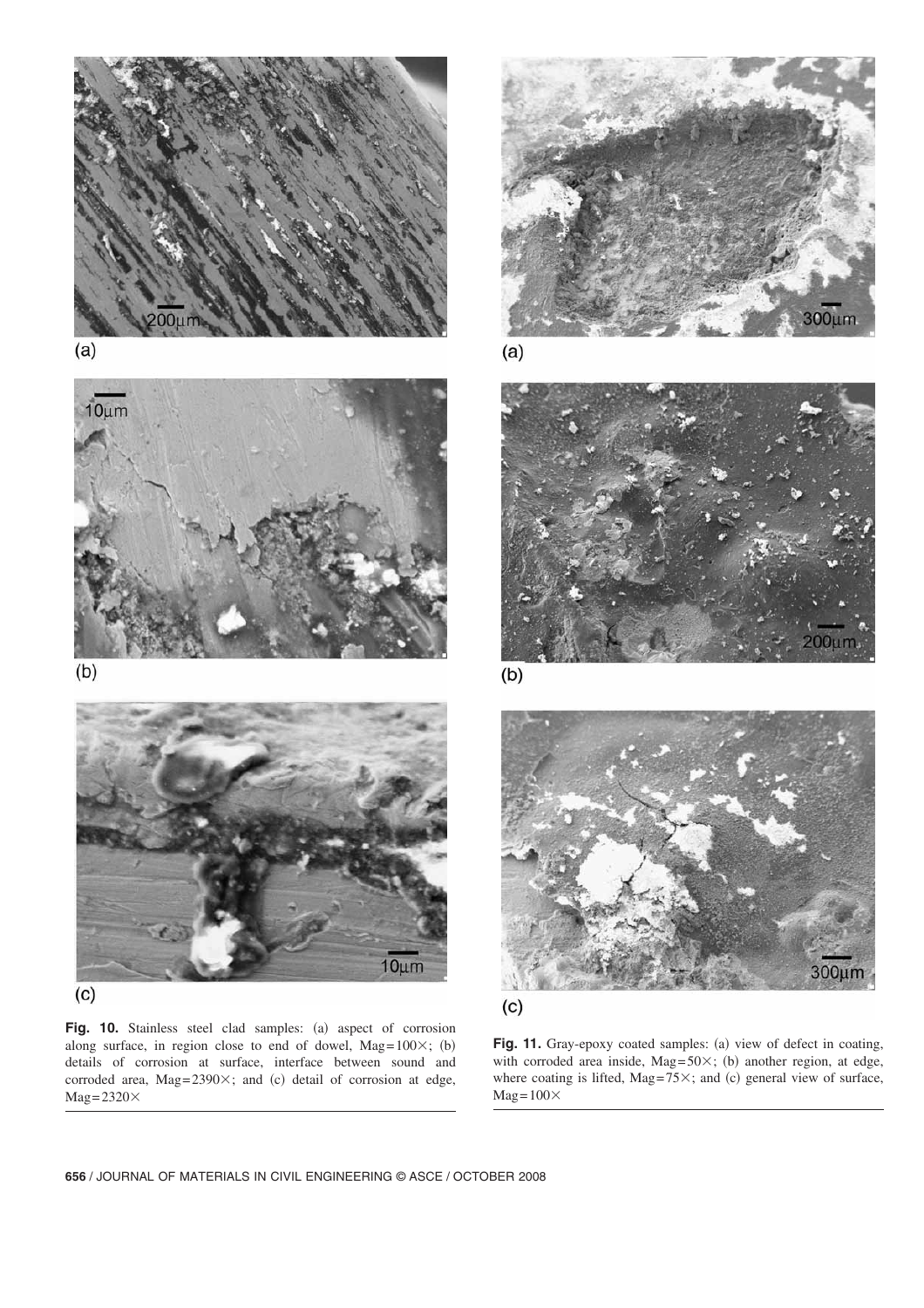





Fig. 10. Stainless steel clad samples: (a) aspect of corrosion along surface, in region close to end of dowel,  $Mag = 100 \times$ ; (b) details of corrosion at surface, interface between sound and corroded area,  $Mag = 2390 \times$ ; and (c) detail of corrosion at edge,  $Mag = 2320 \times$ 



 $(a)$ 



 $(b)$ 



Fig. 11. Gray-epoxy coated samples: (a) view of defect in coating, with corroded area inside, Mag= $50 \times$ ; (b) another region, at edge, where coating is lifted, Mag= $75\times$ ; and (c) general view of surface,  $Mag = 100 \times$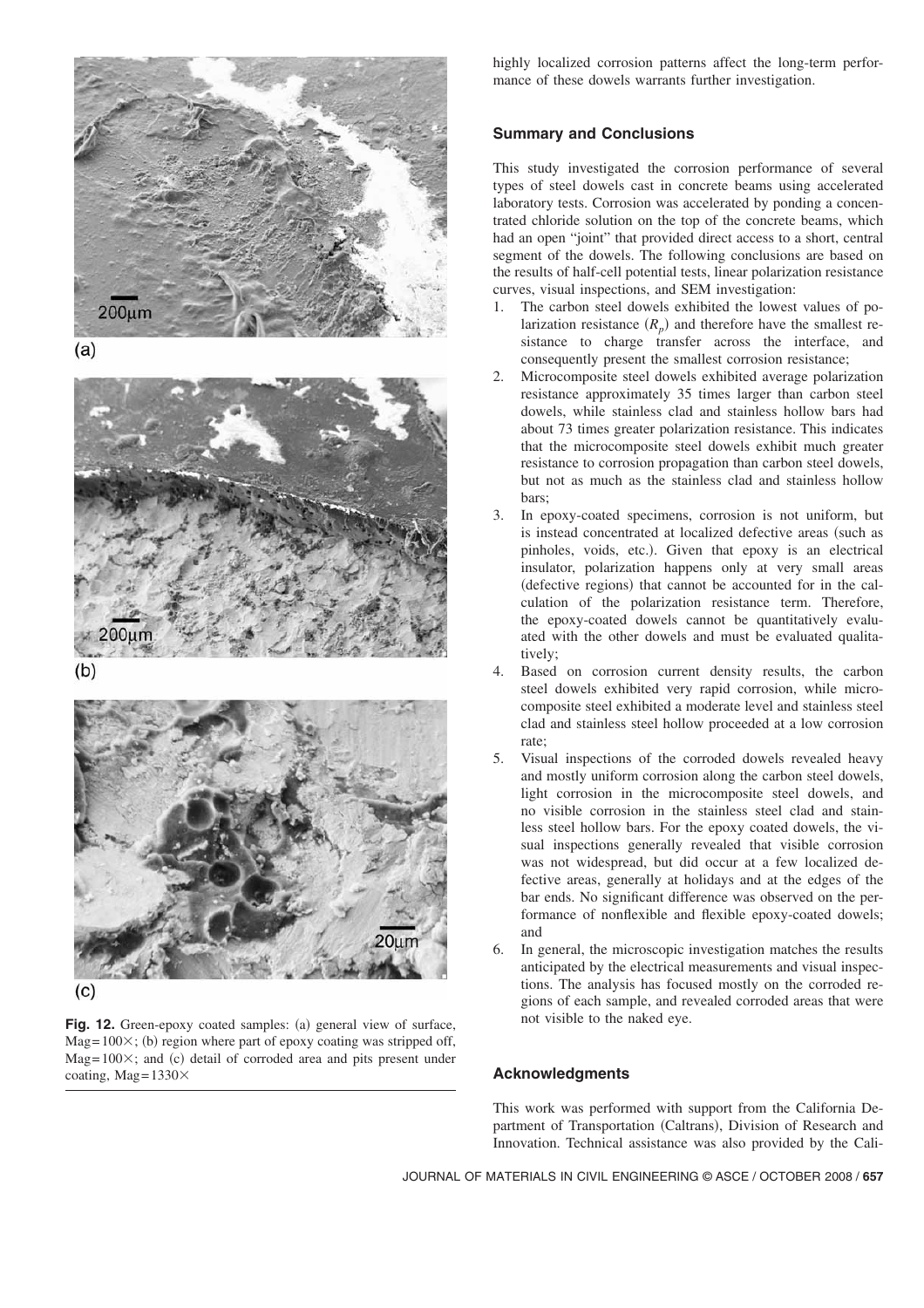







Fig. 12. Green-epoxy coated samples: (a) general view of surface,  $Mag = 100 \times$ ; (b) region where part of epoxy coating was stripped off,  $Mag = 100 \times$ ; and (c) detail of corroded area and pits present under coating, Mag =  $1330\times$ 

highly localized corrosion patterns affect the long-term performance of these dowels warrants further investigation.

# **Summary and Conclusions**

This study investigated the corrosion performance of several types of steel dowels cast in concrete beams using accelerated laboratory tests. Corrosion was accelerated by ponding a concentrated chloride solution on the top of the concrete beams, which had an open "joint" that provided direct access to a short, central segment of the dowels. The following conclusions are based on the results of half-cell potential tests, linear polarization resistance curves, visual inspections, and SEM investigation:

- 1. The carbon steel dowels exhibited the lowest values of polarization resistance  $(R_p)$  and therefore have the smallest resistance to charge transfer across the interface, and consequently present the smallest corrosion resistance;
- 2. Microcomposite steel dowels exhibited average polarization resistance approximately 35 times larger than carbon steel dowels, while stainless clad and stainless hollow bars had about 73 times greater polarization resistance. This indicates that the microcomposite steel dowels exhibit much greater resistance to corrosion propagation than carbon steel dowels, but not as much as the stainless clad and stainless hollow bars;
- 3. In epoxy-coated specimens, corrosion is not uniform, but is instead concentrated at localized defective areas (such as pinholes, voids, etc.). Given that epoxy is an electrical insulator, polarization happens only at very small areas (defective regions) that cannot be accounted for in the calculation of the polarization resistance term. Therefore, the epoxy-coated dowels cannot be quantitatively evaluated with the other dowels and must be evaluated qualitatively;
- 4. Based on corrosion current density results, the carbon steel dowels exhibited very rapid corrosion, while microcomposite steel exhibited a moderate level and stainless steel clad and stainless steel hollow proceeded at a low corrosion rate;
- 5. Visual inspections of the corroded dowels revealed heavy and mostly uniform corrosion along the carbon steel dowels, light corrosion in the microcomposite steel dowels, and no visible corrosion in the stainless steel clad and stainless steel hollow bars. For the epoxy coated dowels, the visual inspections generally revealed that visible corrosion was not widespread, but did occur at a few localized defective areas, generally at holidays and at the edges of the bar ends. No significant difference was observed on the performance of nonflexible and flexible epoxy-coated dowels; and
- 6. In general, the microscopic investigation matches the results anticipated by the electrical measurements and visual inspections. The analysis has focused mostly on the corroded regions of each sample, and revealed corroded areas that were not visible to the naked eye.

### **Acknowledgments**

This work was performed with support from the California Department of Transportation (Caltrans), Division of Research and Innovation. Technical assistance was also provided by the Cali-